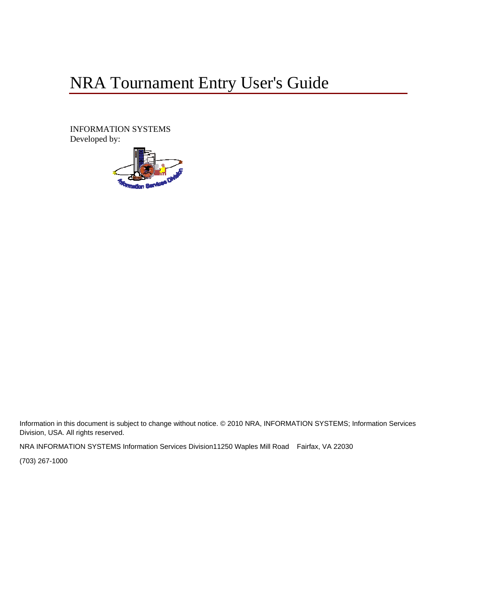# NRA Tournament Entry User's Guide

INFORMATION SYSTEMS Developed by:



Information in this document is subject to change without notice. © 2010 NRA, INFORMATION SYSTEMS; Information Services Division, USA. All rights reserved.

NRA INFORMATION SYSTEMS Information Services Division11250 Waples Mill Road Fairfax, VA 22030

(703) 267-1000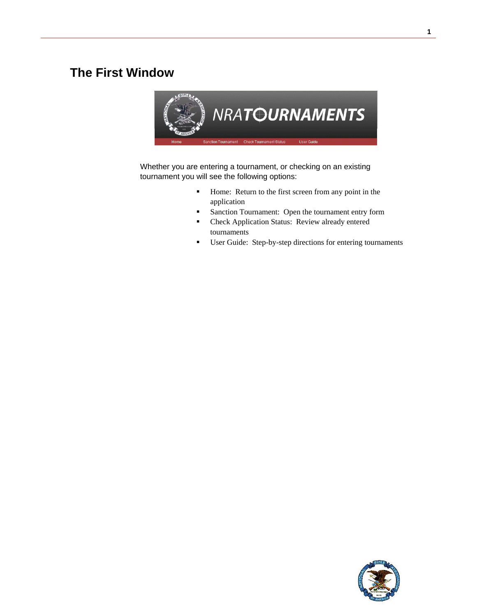## <span id="page-2-0"></span>**The First Window**



Whether you are entering a tournament, or checking on an existing tournament you will see the following options:

- Home: Return to the first screen from any point in the application
- **Sanction Tournament: Open the tournament entry form**
- **EXECUTE:** Check Application Status: Review already entered tournaments
- User Guide: Step-by-step directions for entering tournaments

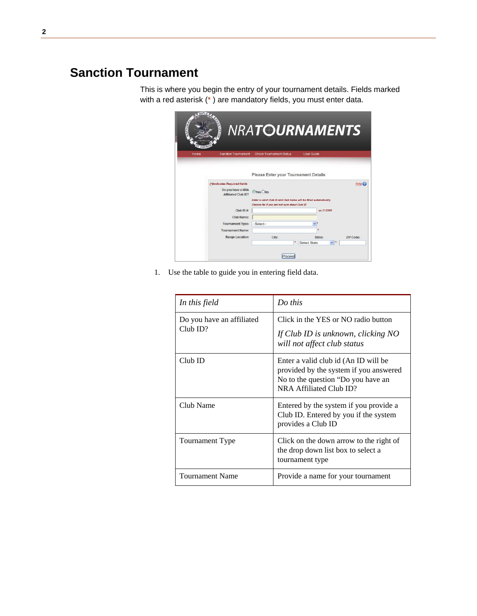## <span id="page-3-0"></span>**Sanction Tournament**

This is where you begin the entry of your tournament details. Fields marked with a red asterisk (\* ) are mandatory fields, you must enter data.



1. Use the table to guide you in entering field data.

| In this field                         | Do this                                                                                                                                         |
|---------------------------------------|-------------------------------------------------------------------------------------------------------------------------------------------------|
| Do you have an affiliated<br>Club ID? | Click in the YES or NO radio button<br>If Club ID is unknown, clicking NO<br>will not affect club status                                        |
| $Club$ ID                             | Enter a valid club id (An ID will be<br>provided by the system if you answered<br>No to the question "Do you have an<br>NRA Affiliated Club ID? |
| Club Name                             | Entered by the system if you provide a<br>Club ID. Entered by you if the system<br>provides a Club ID                                           |
| Tournament Type                       | Click on the down arrow to the right of<br>the drop down list box to select a<br>tournament type                                                |
| <b>Tournament Name</b>                | Provide a name for your tournament                                                                                                              |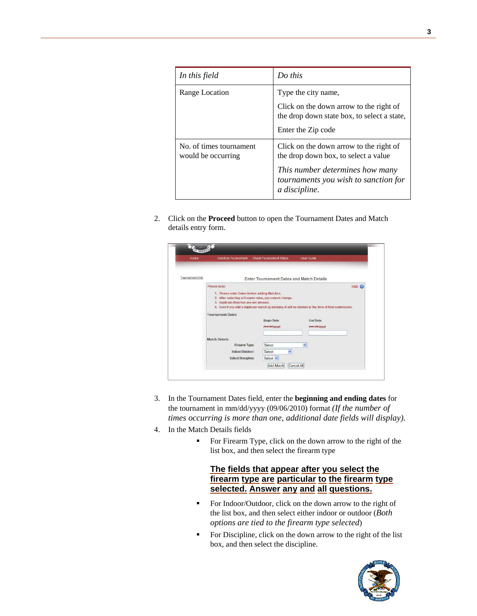| In this field                                 | Do this                                                                                                                                                                     |
|-----------------------------------------------|-----------------------------------------------------------------------------------------------------------------------------------------------------------------------------|
| Range Location                                | Type the city name,<br>Click on the down arrow to the right of<br>the drop down state box, to select a state,<br>Enter the Zip code                                         |
| No. of times tournament<br>would be occurring | Click on the down arrow to the right of<br>the drop down box, to select a value<br>This number determines how many<br>tournaments you wish to sanction for<br>a discipline. |

2. Click on the **Proceed** button to open the Tournament Dates and Match details entry form.

| Home            | <b>Sanction Tournament</b>                                                                                                                                                                 | <b>Check Tournament Status</b>                            | <b>User Guide</b>                                                                                                                       |      |
|-----------------|--------------------------------------------------------------------------------------------------------------------------------------------------------------------------------------------|-----------------------------------------------------------|-----------------------------------------------------------------------------------------------------------------------------------------|------|
| Tournament Info |                                                                                                                                                                                            | <b>Enter Tournament Dates and Match Details</b>           |                                                                                                                                         |      |
|                 | Please note:<br>1. Please enter Dates before adding Matches.<br>2. After selecting a Firearm value, you cannot change.<br>3. Duplicate Matches are not allowed.<br><b>Tournament Dates</b> | <b>Begin Date</b><br>(mm/dd/yyyy)                         | 4. Even if you add a duplicate match by mistake, it will be deleted at the time of final submission.<br><b>Fnd Date</b><br>(mm/dd/yyyy) | Heip |
|                 | <b>Match Details</b><br>Firearm Type:<br>Indoor/Outdoor:<br><b>Select Discipline:</b>                                                                                                      | Select<br>Select<br>$\checkmark$<br>Select v<br>Add Match | $\checkmark$<br>Cancel All                                                                                                              |      |

- 3. In the Tournament Dates field, enter the **beginning and ending dates** for the tournament in mm/dd/yyyy (09/06/2010) format *(If the number of times occurring is more than one, additional date fields will display).*
- 4. In the Match Details fields
	- For Firearm Type, click on the down arrow to the right of the list box, and then select the firearm type

### **The fields that appear after you select the firearm type are particular to the firearm type selected. Answer any and all questions.**

- For Indoor/Outdoor, click on the down arrow to the right of the list box, and then select either indoor or outdoor (*Both options are tied to the firearm type selected*)
- For Discipline, click on the down arrow to the right of the list box, and then select the discipline.

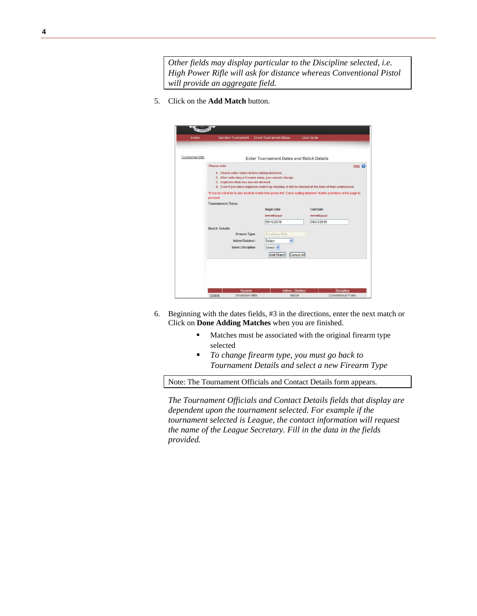*Other fields may display particular to the Discipline selected, i.e. High Power Rifle will ask for distance whereas Conventional Pistol will provide an aggregate field.* 

5. Click on the **Add Match** button.

| Home            | <b>Sanction Tournament</b>                   | <b>Check Tournament Status</b>                         | <b>User Guide</b>                                                                                             |
|-----------------|----------------------------------------------|--------------------------------------------------------|---------------------------------------------------------------------------------------------------------------|
|                 |                                              |                                                        |                                                                                                               |
| Tournament Info |                                              | <b>Enter Tournament Dates and Match Details</b>        |                                                                                                               |
|                 | Please note:                                 |                                                        | Help $\mathcal G$                                                                                             |
|                 | 1. Please enter Dates before adding Matches. |                                                        |                                                                                                               |
|                 |                                              | 2. After selecting a Firearm value, you cannot change. |                                                                                                               |
|                 | 3. Duplicate Matches are not allowed.        |                                                        |                                                                                                               |
|                 |                                              |                                                        | 4. Even if you add a duplicate match by mistake, it will be deleted at the time of final submission.          |
|                 | proceed.                                     |                                                        | *If you do not wish to add another match then press the "Done Adding Matches" button at bottom of the page to |
|                 | <b>Tournament Dates</b>                      |                                                        |                                                                                                               |
|                 |                                              | <b>Begin Date</b>                                      | <b>End Date</b>                                                                                               |
|                 |                                              | (mm/dd/yyyy)                                           | (mm/dd/yyyy)                                                                                                  |
|                 |                                              | 09/16/2010                                             | 09/23/2010                                                                                                    |
|                 | <b>Match Details</b>                         |                                                        |                                                                                                               |
|                 | <b>Firearm Type:</b>                         | Smallbore Rifle                                        | v.                                                                                                            |
|                 |                                              |                                                        |                                                                                                               |
|                 | Indoor/Outdoor:                              | Select<br>v                                            |                                                                                                               |
|                 | <b>Select Discipline</b>                     | Select V                                               |                                                                                                               |
|                 |                                              | Add Match                                              | Cancel All                                                                                                    |
|                 |                                              |                                                        |                                                                                                               |
|                 |                                              |                                                        |                                                                                                               |
|                 |                                              |                                                        |                                                                                                               |
|                 |                                              |                                                        |                                                                                                               |
|                 |                                              |                                                        |                                                                                                               |
|                 | <b>Firearm</b>                               | <b>Indoor - Outdoor</b>                                | <b>Discipline</b>                                                                                             |
|                 | Smallbore Rifle<br>Delete                    | Indoor                                                 | Conventional Prone                                                                                            |

- 6. Beginning with the dates fields, #3 in the directions, enter the next match or Click on **Done Adding Matches** when you are finished.
	- **Matches must be associated with the original firearm type** selected
	- *To change firearm type, you must go back to Tournament Details and select a new Firearm Type*

Note: The Tournament Officials and Contact Details form appears.

*The Tournament Officials and Contact Details fields that display are dependent upon the tournament selected. For example if the tournament selected is League, the contact information will request the name of the League Secretary. Fill in the data in the fields provided.*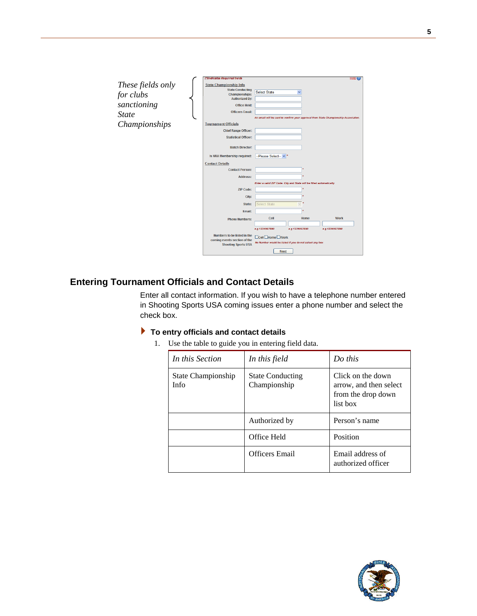

### <span id="page-6-0"></span>**Entering Tournament Officials and Contact Details**

Enter all contact information. If you wish to have a telephone number entered in Shooting Sports USA coming issues enter a phone number and select the check box.

#### **To entry officials and contact details**

1. Use the table to guide you in entering field data.

| In this Section                   | In this field                           | $Do$ this                                                                     |
|-----------------------------------|-----------------------------------------|-------------------------------------------------------------------------------|
| State Championship<br><b>Info</b> | <b>State Conducting</b><br>Championship | Click on the down<br>arrow, and then select<br>from the drop down<br>list box |
|                                   | Authorized by                           | Person's name                                                                 |
|                                   | Office Held                             | Position                                                                      |
|                                   | <b>Officers</b> Email                   | Email address of<br>authorized officer                                        |

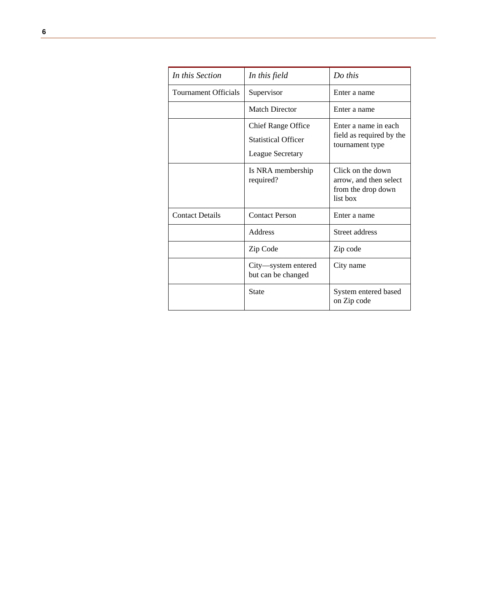| In this Section             | In this field                                                               | Do this                                                                       |
|-----------------------------|-----------------------------------------------------------------------------|-------------------------------------------------------------------------------|
| <b>Tournament Officials</b> | Supervisor                                                                  | Enter a name                                                                  |
|                             | <b>Match Director</b>                                                       | Enter a name                                                                  |
|                             | <b>Chief Range Office</b><br><b>Statistical Officer</b><br>League Secretary | Enter a name in each<br>field as required by the<br>tournament type           |
|                             | Is NRA membership<br>required?                                              | Click on the down<br>arrow, and then select<br>from the drop down<br>list box |
| <b>Contact Details</b>      | <b>Contact Person</b>                                                       | Enter a name                                                                  |
|                             | Address                                                                     | Street address                                                                |
|                             | Zip Code                                                                    | Zip code                                                                      |
|                             | City—system entered<br>but can be changed                                   | City name                                                                     |
|                             | State                                                                       | System entered based<br>on Zip code                                           |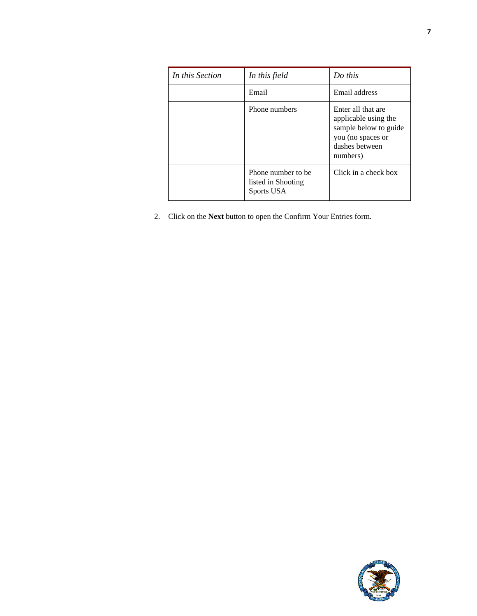| In this Section | In this field                                           | Do this                                                                                                                |
|-----------------|---------------------------------------------------------|------------------------------------------------------------------------------------------------------------------------|
|                 | Email                                                   | Email address                                                                                                          |
|                 | Phone numbers                                           | Enter all that are<br>applicable using the<br>sample below to guide<br>you (no spaces or<br>dashes between<br>numbers) |
|                 | Phone number to be.<br>listed in Shooting<br>Sports USA | Click in a check box                                                                                                   |

2. Click on the **Next** button to open the Confirm Your Entries form.

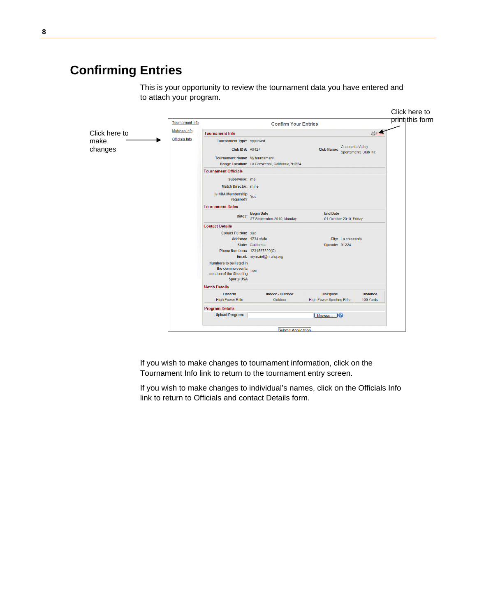# <span id="page-9-0"></span>**Confirming Entries**

This is your opportunity to review the tournament data you have entered and to attach your program.

|                               |                                                                   |                                                 |                                                                | Click here to   |
|-------------------------------|-------------------------------------------------------------------|-------------------------------------------------|----------------------------------------------------------------|-----------------|
| Tournament Info               |                                                                   | <b>Confirm Your Entries</b>                     |                                                                | print this form |
| Matches Info<br>Click here to | <b>Tournament Info</b>                                            |                                                 | <b>合图</b>                                                      |                 |
| <b>Officials Info</b><br>make | Tournament Type: Approved                                         |                                                 |                                                                |                 |
| changes                       | <b>Club ID #: A0427</b>                                           |                                                 | Crescenta Valley<br><b>Club Name:</b><br>Sportsmen's Club Inc. |                 |
|                               | Tournament Name: My tournament                                    |                                                 |                                                                |                 |
|                               |                                                                   | Range Location: La Crescenta, California, 91224 |                                                                |                 |
|                               | <b>Tournament Officials</b>                                       |                                                 |                                                                |                 |
|                               | Supervisor: me                                                    |                                                 |                                                                |                 |
|                               | <b>Match Director: mine</b>                                       |                                                 |                                                                |                 |
|                               | Is NRA Membership<br>Tes<br>required?                             |                                                 |                                                                |                 |
|                               | <b>Tournament Dates</b>                                           |                                                 |                                                                |                 |
|                               | Dates:                                                            | <b>Begin Date</b><br>27 September 2010, Monday  | <b>End Date</b><br>01 October 2010, Friday                     |                 |
|                               | <b>Contact Details</b>                                            |                                                 |                                                                |                 |
|                               | <b>Conact Person: sue</b>                                         |                                                 |                                                                |                 |
|                               |                                                                   | Address: 1234 state                             | City: La crescenta                                             |                 |
|                               |                                                                   | State: California                               | Zipcode: 91224                                                 |                 |
|                               |                                                                   | Phone Numbers: 1234567890(C),                   |                                                                |                 |
|                               | Numbers to be listed in                                           | Email: mymaiol@nrahq.org                        |                                                                |                 |
|                               | the coming events<br>section of the Shooting<br><b>Sports USA</b> | Cell                                            |                                                                |                 |
|                               | <b>Match Details</b>                                              |                                                 |                                                                |                 |
|                               | <b>Firearm</b>                                                    | <b>Indoor - Outdoor</b>                         | <b>Discipline</b><br><b>Distance</b>                           |                 |
|                               | <b>High Power Rifle</b>                                           | Outdoor                                         | <b>High Power Sporting Rifle</b><br>100 Yards                  |                 |
|                               | <b>Program Details</b>                                            |                                                 |                                                                |                 |
|                               | <b>Upload Program:</b>                                            |                                                 | הו<br>Browse                                                   |                 |
|                               |                                                                   | Submit Application                              |                                                                |                 |

If you wish to make changes to tournament information, click on the Tournament Info link to return to the tournament entry screen.

If you wish to make changes to individual's names, click on the Officials Info link to return to Officials and contact Details form.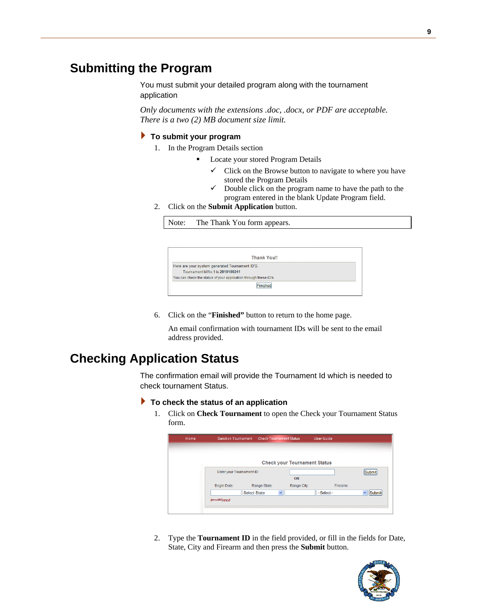### <span id="page-10-0"></span>**Submitting the Program**

You must submit your detailed program along with the tournament application

*Only documents with the extensions .doc, .docx, or PDF are acceptable. There is a two (2) MB document size limit.* 

#### **To submit your program**

- 1. In the Program Details section
	- Locate your stored Program Details
		- $\checkmark$  Click on the Browse button to navigate to where you have stored the Program Details
		- $\checkmark$  Double click on the program name to have the path to the program entered in the blank Update Program field.
- 2. Click on the **Submit Application** button.

Note: The Thank You form appears.

|                                                                 | <b>Thank You!!</b> |  |  |
|-----------------------------------------------------------------|--------------------|--|--|
| Here are your system generated Tournament ID'S.                 |                    |  |  |
| Tournament Id No 1 is 2010100241                                |                    |  |  |
| You can check the status of your application through these ID's |                    |  |  |
|                                                                 |                    |  |  |

6. Click on the "**Finished"** button to return to the home page.

An email confirmation with tournament IDs will be sent to the email address provided.

### <span id="page-10-1"></span>**Checking Application Status**

The confirmation email will provide the Tournament Id which is needed to check tournament Status.

#### **To check the status of an application**

1. Click on **Check Tournament** to open the Check your Tournament Status form.

|                           | <b>Sanction Tournament</b> | <b>Check Tournament Status</b> |              |                                     | <b>User Guide</b> |          |               |
|---------------------------|----------------------------|--------------------------------|--------------|-------------------------------------|-------------------|----------|---------------|
|                           |                            |                                |              |                                     |                   |          |               |
|                           |                            |                                |              | <b>Check your Tournament Status</b> |                   |          |               |
| Enter your Tournament ID: |                            |                                |              |                                     |                   |          | <b>Submit</b> |
|                           |                            |                                |              | <b>OR</b>                           |                   |          |               |
| Begin Date:               |                            | Range State:                   |              | Range City:                         |                   | Firearm: |               |
|                           | <b>Select State</b>        |                                | $\checkmark$ |                                     | --Select--        |          | Submit        |
| (mm/dd/yyyy)              |                            |                                |              |                                     |                   |          |               |

2. Type the **Tournament ID** in the field provided, or fill in the fields for Date, State, City and Firearm and then press the **Submit** button.